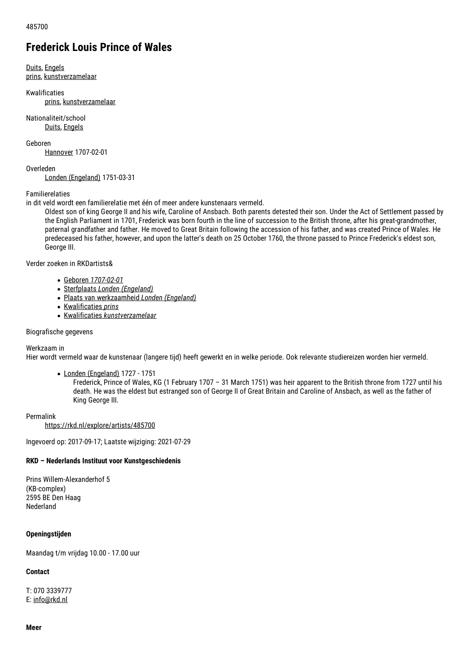# **Frederick Louis Prince of Wales**

Duits, Engels prins, kunstverzamelaar

Kwalificaties prins, kunstverzamelaar

Nationaliteit/school Duits, Engels

Geboren

Hannover 1707-02-01

#### Overleden

Londen (Engeland) 1751-03-31

Familierelaties

in dit veld wordt een familierelatie met één of meer andere kunstenaars vermeld.

Oldest son of king George II and his wife, Caroline of Ansbach. Both parents detested their son. Under the Act of Settlement passed by the English Parliament in 1701, Frederick was born fourth in the line of succession to the British throne, after his great-grandmother, paternal grandfather and father. He moved to Great Britain following the accession of his father, and was created Prince of Wales. He predeceased his father, however, and upon the latter's death on 25 October 1760, the throne passed to Prince Frederick's eldest son, George III.

Verder zoeken in RKDartists&

- Geboren *1707-02-01*
- Sterfplaats *Londen (Engeland)*
- Plaats van werkzaamheid *Londen (Engeland)*
- Kwalificaties *prins*
- Kwalificaties *kunstverzamelaar*

Biografische gegevens

#### Werkzaam in

Hier wordt vermeld waar de kunstenaar (langere tijd) heeft gewerkt en in welke periode. Ook relevante studiereizen worden hier vermeld.

- Londen (Engeland) 1727 1751
	- Frederick, Prince of Wales, KG (1 February 1707 31 March 1751) was heir apparent to the British throne from 1727 until his death. He was the eldest but estranged son of George II of Great Britain and Caroline of Ansbach, as well as the father of King George III.

Permalink

https://rkd.nl/explore/artists/485700

Ingevoerd op: 2017-09-17; Laatste wijziging: 2021-07-29

## **RKD – Nederlands Instituut voor Kunstgeschiedenis**

Prins Willem-Alexanderhof 5 (KB-complex) 2595 BE Den Haag Nederland

## **Openingstijden**

Maandag t/m vrijdag 10.00 - 17.00 uur

## **Contact**

T: 070 3339777 E: info@rkd.nl